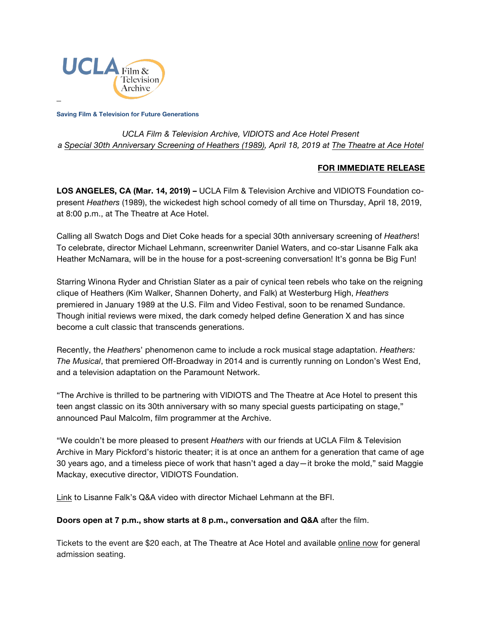

**Saving Film & Television for Future Generations**

# *UCLA Film & Television Archive, VIDIOTS and Ace Hotel Present a [Special 30th Anniversary Screening of Heathers](https://www.cinema.ucla.edu/events/2019/04/18/heathers-30th-anniversary) (1989), April 18, 2019 at [The Theatre](https://theatre.acehotel.com/) at Ace Hotel*

### **FOR IMMEDIATE RELEASE**

**LOS ANGELES, CA (Mar. 14, 2019) –** UCLA Film & Television Archive and VIDIOTS Foundation copresent *Heathers* (1989), the wickedest high school comedy of all time on Thursday, April 18, 2019, at 8:00 p.m., at The Theatre at Ace Hotel.

Calling all Swatch Dogs and Diet Coke heads for a special 30th anniversary screening of *Heathers*! To celebrate, director Michael Lehmann, screenwriter Daniel Waters, and co-star Lisanne Falk aka Heather McNamara, will be in the house for a post-screening conversation! It's gonna be Big Fun!

Starring Winona Ryder and Christian Slater as a pair of cynical teen rebels who take on the reigning clique of Heathers (Kim Walker, Shannen Doherty, and Falk) at Westerburg High, *Heathers* premiered in January 1989 at the U.S. Film and Video Festival, soon to be renamed Sundance. Though initial reviews were mixed, the dark comedy helped define Generation X and has since become a cult classic that transcends generations.

Recently, the *Heather*s' phenomenon came to include a rock musical stage adaptation. *Heathers: The Musical*, that premiered Off-Broadway in 2014 and is currently running on London's West End, and a television adaptation on the Paramount Network.

"The Archive is thrilled to be partnering with VIDIOTS and The Theatre at Ace Hotel to present this teen angst classic on its 30th anniversary with so many special guests participating on stage," announced Paul Malcolm, film programmer at the Archive.

"We couldn't be more pleased to present *Heathers* with our friends at UCLA Film & Television Archive in Mary Pickford's historic theater; it is at once an anthem for a generation that came of age 30 years ago, and a timeless piece of work that hasn't aged a day—it broke the mold," said Maggie Mackay, executive director, VIDIOTS Foundation.

[Link](https://www.youtube.com/watch?v=dGN2y4Fc_8U) to Lisanne Falk's Q&A video with director Michael Lehmann at the BFI.

#### **Doors open at 7 p.m., show starts at 8 p.m., conversation and Q&A** after the film.

Tickets to the event are \$20 each, at The Theatre at Ace Hotel and available [online now](https://theatre.acehotel.com/events/special-screening-heathers/) for general admission seating.